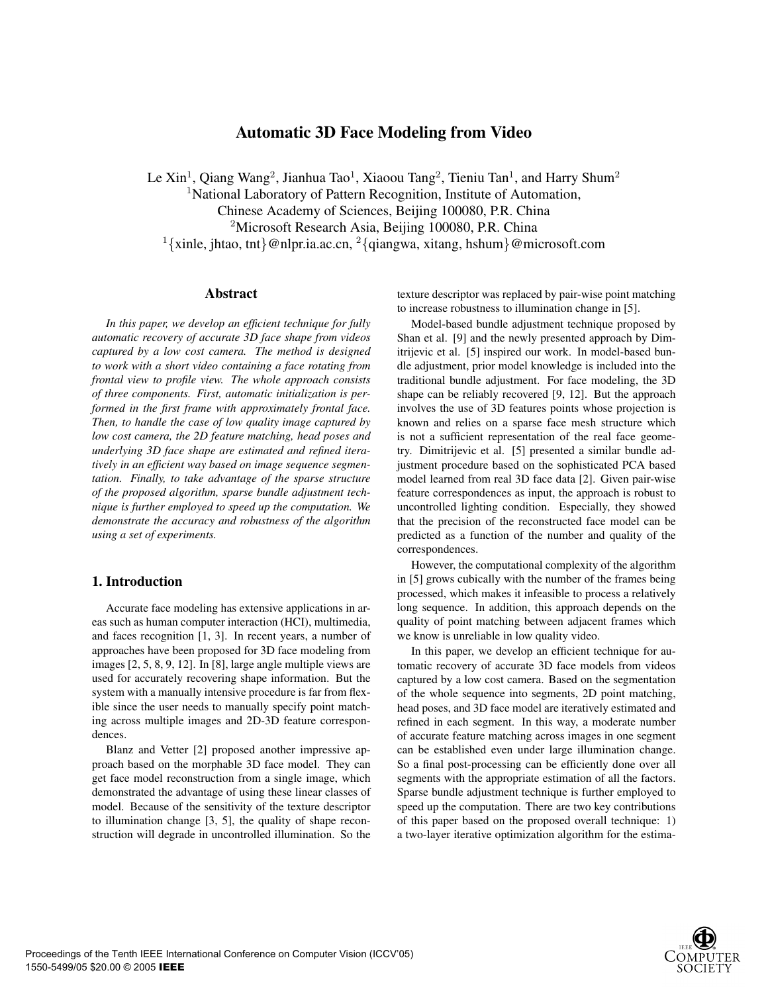# **Automatic 3D Face Modeling from Video**

Le Xin<sup>1</sup>, Qiang Wang<sup>2</sup>, Jianhua Tao<sup>1</sup>, Xiaoou Tang<sup>2</sup>, Tieniu Tan<sup>1</sup>, and Harry Shum<sup>2</sup> <sup>1</sup>National Laboratory of Pattern Recognition, Institute of Automation, Chinese Academy of Sciences, Beijing 100080, P.R. China <sup>2</sup>Microsoft Research Asia, Beijing 100080, P.R. China <sup>1</sup>{xinle, jhtao, tnt}@nlpr.ia.ac.cn, <sup>2</sup>{qiangwa, xitang, hshum}@microsoft.com

#### **Abstract**

*In this paper, we develop an efficient technique for fully automatic recovery of accurate 3D face shape from videos captured by a low cost camera. The method is designed to work with a short video containing a face rotating from frontal view to profile view. The whole approach consists of three components. First, automatic initialization is performed in the first frame with approximately frontal face. Then, to handle the case of low quality image captured by low cost camera, the 2D feature matching, head poses and underlying 3D face shape are estimated and refined iteratively in an efficient way based on image sequence segmentation. Finally, to take advantage of the sparse structure of the proposed algorithm, sparse bundle adjustment technique is further employed to speed up the computation. We demonstrate the accuracy and robustness of the algorithm using a set of experiments.*

### **1. Introduction**

Accurate face modeling has extensive applications in areas such as human computer interaction (HCI), multimedia, and faces recognition [1, 3]. In recent years, a number of approaches have been proposed for 3D face modeling from images [2, 5, 8, 9, 12]. In [8], large angle multiple views are used for accurately recovering shape information. But the system with a manually intensive procedure is far from flexible since the user needs to manually specify point matching across multiple images and 2D-3D feature correspondences.

Blanz and Vetter [2] proposed another impressive approach based on the morphable 3D face model. They can get face model reconstruction from a single image, which demonstrated the advantage of using these linear classes of model. Because of the sensitivity of the texture descriptor to illumination change [3, 5], the quality of shape reconstruction will degrade in uncontrolled illumination. So the texture descriptor was replaced by pair-wise point matching to increase robustness to illumination change in [5].

Model-based bundle adjustment technique proposed by Shan et al. [9] and the newly presented approach by Dimitrijevic et al. [5] inspired our work. In model-based bundle adjustment, prior model knowledge is included into the traditional bundle adjustment. For face modeling, the 3D shape can be reliably recovered [9, 12]. But the approach involves the use of 3D features points whose projection is known and relies on a sparse face mesh structure which is not a sufficient representation of the real face geometry. Dimitrijevic et al. [5] presented a similar bundle adjustment procedure based on the sophisticated PCA based model learned from real 3D face data [2]. Given pair-wise feature correspondences as input, the approach is robust to uncontrolled lighting condition. Especially, they showed that the precision of the reconstructed face model can be predicted as a function of the number and quality of the correspondences.

However, the computational complexity of the algorithm in [5] grows cubically with the number of the frames being processed, which makes it infeasible to process a relatively long sequence. In addition, this approach depends on the quality of point matching between adjacent frames which we know is unreliable in low quality video.

In this paper, we develop an efficient technique for automatic recovery of accurate 3D face models from videos captured by a low cost camera. Based on the segmentation of the whole sequence into segments, 2D point matching, head poses, and 3D face model are iteratively estimated and refined in each segment. In this way, a moderate number of accurate feature matching across images in one segment can be established even under large illumination change. So a final post-processing can be efficiently done over all segments with the appropriate estimation of all the factors. Sparse bundle adjustment technique is further employed to speed up the computation. There are two key contributions of this paper based on the proposed overall technique: 1) a two-layer iterative optimization algorithm for the estima-

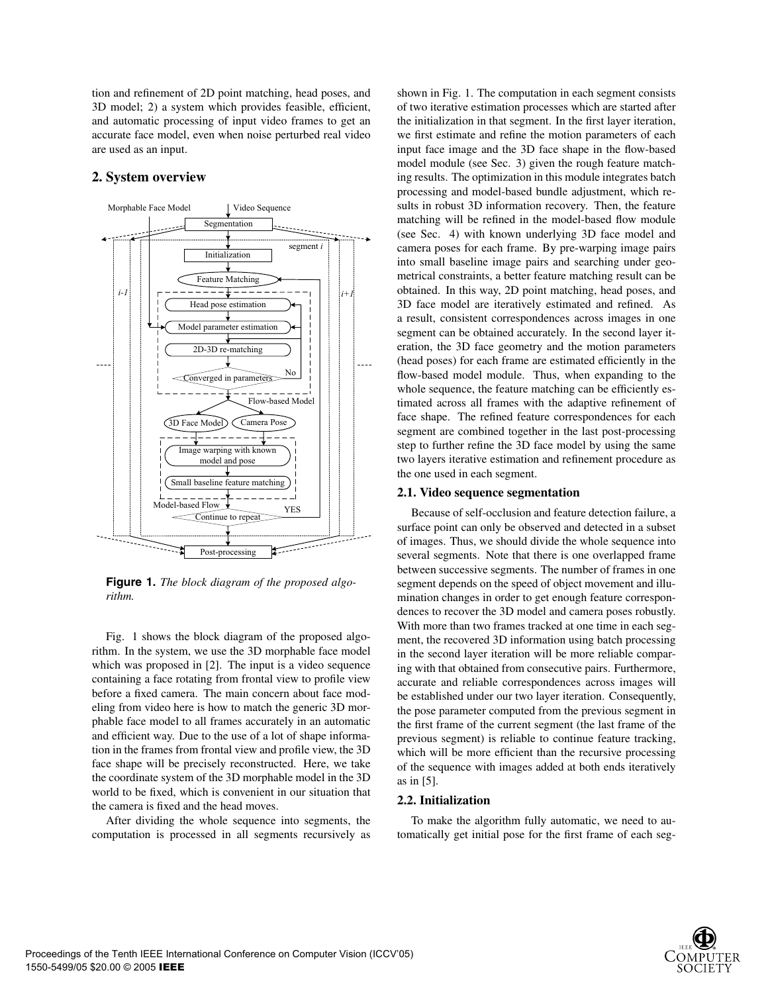tion and refinement of 2D point matching, head poses, and 3D model; 2) a system which provides feasible, efficient, and automatic processing of input video frames to get an accurate face model, even when noise perturbed real video are used as an input.

# **2. System overview**



**Figure 1.** *The block diagram of the proposed algorithm.*

Fig. 1 shows the block diagram of the proposed algorithm. In the system, we use the 3D morphable face model which was proposed in [2]. The input is a video sequence containing a face rotating from frontal view to profile view before a fixed camera. The main concern about face modeling from video here is how to match the generic 3D morphable face model to all frames accurately in an automatic and efficient way. Due to the use of a lot of shape information in the frames from frontal view and profile view, the 3D face shape will be precisely reconstructed. Here, we take the coordinate system of the 3D morphable model in the 3D world to be fixed, which is convenient in our situation that the camera is fixed and the head moves.

After dividing the whole sequence into segments, the computation is processed in all segments recursively as shown in Fig. 1. The computation in each segment consists of two iterative estimation processes which are started after the initialization in that segment. In the first layer iteration, we first estimate and refine the motion parameters of each input face image and the 3D face shape in the flow-based model module (see Sec. 3) given the rough feature matching results. The optimization in this module integrates batch processing and model-based bundle adjustment, which results in robust 3D information recovery. Then, the feature matching will be refined in the model-based flow module (see Sec. 4) with known underlying 3D face model and camera poses for each frame. By pre-warping image pairs into small baseline image pairs and searching under geometrical constraints, a better feature matching result can be obtained. In this way, 2D point matching, head poses, and 3D face model are iteratively estimated and refined. As a result, consistent correspondences across images in one segment can be obtained accurately. In the second layer iteration, the 3D face geometry and the motion parameters (head poses) for each frame are estimated efficiently in the flow-based model module. Thus, when expanding to the whole sequence, the feature matching can be efficiently estimated across all frames with the adaptive refinement of face shape. The refined feature correspondences for each segment are combined together in the last post-processing step to further refine the 3D face model by using the same two layers iterative estimation and refinement procedure as the one used in each segment.

# **2.1. Video sequence segmentation**

Because of self-occlusion and feature detection failure, a surface point can only be observed and detected in a subset of images. Thus, we should divide the whole sequence into several segments. Note that there is one overlapped frame between successive segments. The number of frames in one segment depends on the speed of object movement and illumination changes in order to get enough feature correspondences to recover the 3D model and camera poses robustly. With more than two frames tracked at one time in each segment, the recovered 3D information using batch processing in the second layer iteration will be more reliable comparing with that obtained from consecutive pairs. Furthermore, accurate and reliable correspondences across images will be established under our two layer iteration. Consequently, the pose parameter computed from the previous segment in the first frame of the current segment (the last frame of the previous segment) is reliable to continue feature tracking, which will be more efficient than the recursive processing of the sequence with images added at both ends iteratively as in [5].

### **2.2. Initialization**

To make the algorithm fully automatic, we need to automatically get initial pose for the first frame of each seg-

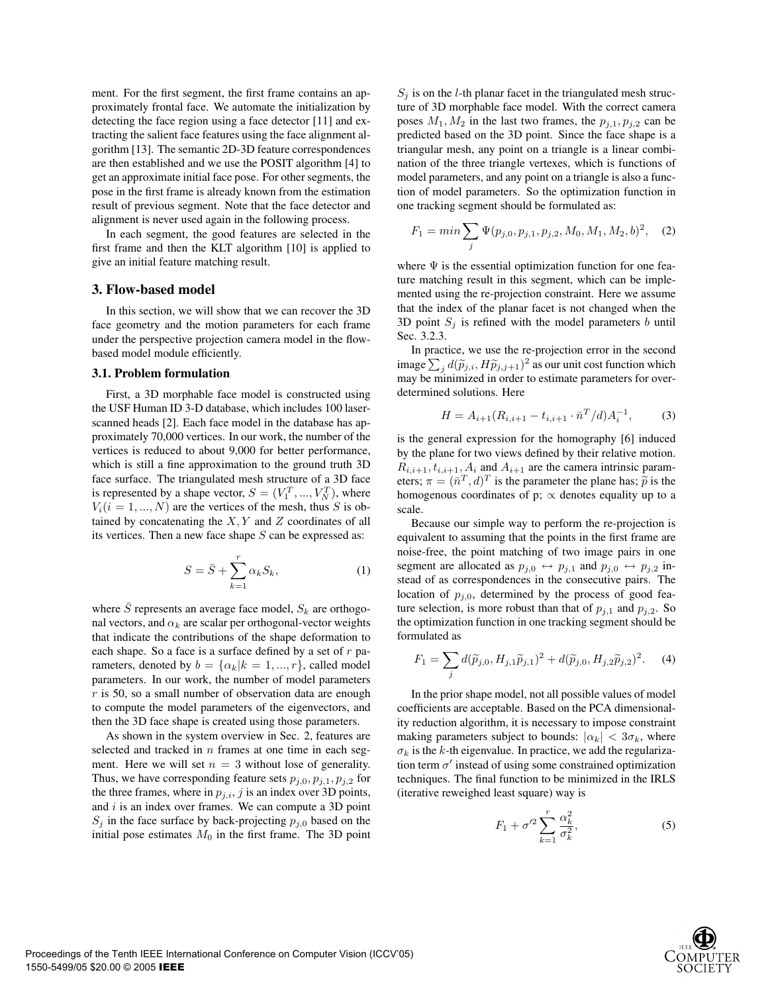ment. For the first segment, the first frame contains an approximately frontal face. We automate the initialization by detecting the face region using a face detector [11] and extracting the salient face features using the face alignment algorithm [13]. The semantic 2D-3D feature correspondences are then established and we use the POSIT algorithm [4] to get an approximate initial face pose. For other segments, the pose in the first frame is already known from the estimation result of previous segment. Note that the face detector and alignment is never used again in the following process.

In each segment, the good features are selected in the first frame and then the KLT algorithm [10] is applied to give an initial feature matching result.

#### **3. Flow-based model**

In this section, we will show that we can recover the 3D face geometry and the motion parameters for each frame under the perspective projection camera model in the flowbased model module efficiently.

#### **3.1. Problem formulation**

First, a 3D morphable face model is constructed using the USF Human ID 3-D database, which includes 100 laserscanned heads [2]. Each face model in the database has approximately 70,000 vertices. In our work, the number of the vertices is reduced to about 9,000 for better performance, which is still a fine approximation to the ground truth 3D face surface. The triangulated mesh structure of a 3D face is represented by a shape vector,  $S = (V_1^T, ..., V_N^T)$ , where  $V_1(i = 1, ..., N)$  are the vertices of the mesh, thus S is ob- $V_i(i = 1, ..., N)$  are the vertices of the mesh, thus S is obtained by concatenating the  $X, Y$  and  $Z$  coordinates of all its vertices. Then a new face shape  $S$  can be expressed as:

$$
S = \bar{S} + \sum_{k=1}^{r} \alpha_k S_k,
$$
\n(1)

where  $\overline{S}$  represents an average face model,  $S_k$  are orthogonal vectors, and  $\alpha_k$  are scalar per orthogonal-vector weights that indicate the contributions of the shape deformation to each shape. So a face is a surface defined by a set of  $r$  parameters, denoted by  $b = {\alpha_k | k = 1, ..., r}$ , called model parameters. In our work, the number of model parameters  $r$  is 50, so a small number of observation data are enough to compute the model parameters of the eigenvectors, and then the 3D face shape is created using those parameters.

As shown in the system overview in Sec. 2, features are selected and tracked in  $n$  frames at one time in each segment. Here we will set  $n = 3$  without lose of generality. Thus, we have corresponding feature sets  $p_{j,0}, p_{j,1}, p_{j,2}$  for the three frames, where in  $p_{j,i}$ , j is an index over 3D points, and  $i$  is an index over frames. We can compute a  $3D$  point  $S_j$  in the face surface by back-projecting  $p_{j,0}$  based on the initial pose estimates  $M_0$  in the first frame. The 3D point  $S_i$  is on the *l*-th planar facet in the triangulated mesh structure of 3D morphable face model. With the correct camera poses  $M_1, M_2$  in the last two frames, the  $p_{i,1}, p_{i,2}$  can be predicted based on the 3D point. Since the face shape is a triangular mesh, any point on a triangle is a linear combination of the three triangle vertexes, which is functions of model parameters, and any point on a triangle is also a function of model parameters. So the optimization function in one tracking segment should be formulated as:

$$
F_1 = \min \sum_j \Psi(p_{j,0}, p_{j,1}, p_{j,2}, M_0, M_1, M_2, b)^2, \quad (2)
$$

where  $\Psi$  is the essential optimization function for one feature matching result in this segment, which can be implemented using the re-projection constraint. Here we assume that the index of the planar facet is not changed when the 3D point  $S_j$  is refined with the model parameters b until Sec. 3.2.3.

In practice, we use the re-projection error in the second image  $\sum_{j} d(\widetilde{p}_{j,i}, H\widetilde{p}_{j,j+1})^2$  as our unit cost function which<br>may be minimized in order to estimate parameters for overmay be minimized in order to estimate parameters for overdetermined solutions. Here

$$
H = A_{i+1}(R_{i,i+1} - t_{i,i+1} \cdot \bar{n}^T/d)A_i^{-1},\tag{3}
$$

is the general expression for the homography [6] induced by the plane for two views defined by their relative motion.  $R_{i,i+1}, t_{i,i+1}, A_i$  and  $A_{i+1}$  are the camera intrinsic parameters;  $\pi = (\bar{n}^T, d)^T$  is the parameter the plane has;  $\tilde{p}$  is the homogenous coordinates of p;  $\propto$  denotes equality up to a scale.

Because our simple way to perform the re-projection is equivalent to assuming that the points in the first frame are noise-free, the point matching of two image pairs in one segment are allocated as  $p_{j,0} \leftrightarrow p_{j,1}$  and  $p_{j,0} \leftrightarrow p_{j,2}$  instead of as correspondences in the consecutive pairs. The location of  $p_{i,0}$ , determined by the process of good feature selection, is more robust than that of  $p_{i,1}$  and  $p_{i,2}$ . So the optimization function in one tracking segment should be formulated as

$$
F_1 = \sum_j d(\widetilde{p}_{j,0}, H_{j,1}\widetilde{p}_{j,1})^2 + d(\widetilde{p}_{j,0}, H_{j,2}\widetilde{p}_{j,2})^2.
$$
 (4)

In the prior shape model, not all possible values of model coefficients are acceptable. Based on the PCA dimensionality reduction algorithm, it is necessary to impose constraint making parameters subject to bounds:  $|\alpha_k| < 3\sigma_k$ , where  $\sigma_k$  is the k-th eigenvalue. In practice, we add the regularization term  $\sigma'$  instead of using some constrained optimization techniques. The final function to be minimized in the IRLS (iterative reweighed least square) way is

$$
F_1 + \sigma^2 \sum_{k=1}^r \frac{\alpha_k^2}{\sigma_k^2},\tag{5}
$$

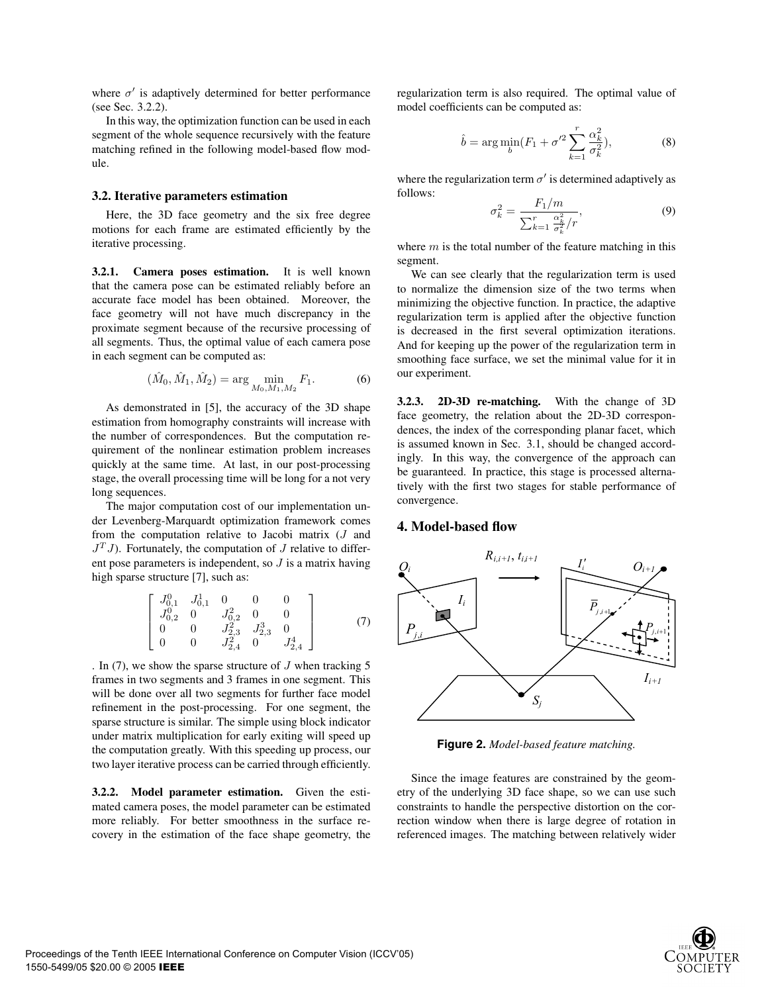where  $\sigma'$  is adaptively determined for better performance (see Sec. 3.2.2).

In this way, the optimization function can be used in each segment of the whole sequence recursively with the feature matching refined in the following model-based flow module.

#### **3.2. Iterative parameters estimation**

Here, the 3D face geometry and the six free degree motions for each frame are estimated efficiently by the iterative processing.

**3.2.1. Camera poses estimation.** It is well known that the camera pose can be estimated reliably before an accurate face model has been obtained. Moreover, the face geometry will not have much discrepancy in the proximate segment because of the recursive processing of all segments. Thus, the optimal value of each camera pose in each segment can be computed as:

$$
(\hat{M}_0, \hat{M}_1, \hat{M}_2) = \arg\min_{M_0, M_1, M_2} F_1.
$$
 (6)

As demonstrated in [5], the accuracy of the 3D shape estimation from homography constraints will increase with the number of correspondences. But the computation requirement of the nonlinear estimation problem increases quickly at the same time. At last, in our post-processing stage, the overall processing time will be long for a not very long sequences.

The major computation cost of our implementation under Levenberg-Marquardt optimization framework comes from the computation relative to Jacobi matrix (J and  $J<sup>T</sup> J$ ). Fortunately, the computation of J relative to different pose parameters is independent, so  $J$  is a matrix having high sparse structure [7], such as:

$$
\begin{bmatrix}\nJ_{0,1}^0 & J_{0,1}^1 & 0 & 0 & 0 \\
J_{0,2}^0 & 0 & J_{0,2}^2 & 0 & 0 \\
0 & 0 & J_{2,3}^2 & J_{2,3}^3 & 0 \\
0 & 0 & J_{2,4}^2 & 0 & J_{2,4}^4\n\end{bmatrix}
$$
\n(7)

. In  $(7)$ , we show the sparse structure of  $J$  when tracking 5 frames in two segments and 3 frames in one segment. This will be done over all two segments for further face model refinement in the post-processing. For one segment, the sparse structure is similar. The simple using block indicator under matrix multiplication for early exiting will speed up the computation greatly. With this speeding up process, our two layer iterative process can be carried through efficiently.

**3.2.2. Model parameter estimation.** Given the estimated camera poses, the model parameter can be estimated more reliably. For better smoothness in the surface recovery in the estimation of the face shape geometry, the

regularization term is also required. The optimal value of model coefficients can be computed as:

$$
\hat{b} = \arg\min_{b} (F_1 + \sigma'^2 \sum_{k=1}^r \frac{\alpha_k^2}{\sigma_k^2}),\tag{8}
$$

where the regularization term  $\sigma'$  is determined adaptively as follows:

$$
\sigma_k^2 = \frac{F_1/m}{\sum_{k=1}^r \frac{\alpha_k^2}{\sigma_k^2}/r},
$$
\n(9)

where  $m$  is the total number of the feature matching in this segment.

We can see clearly that the regularization term is used to normalize the dimension size of the two terms when minimizing the objective function. In practice, the adaptive regularization term is applied after the objective function is decreased in the first several optimization iterations. And for keeping up the power of the regularization term in smoothing face surface, we set the minimal value for it in our experiment.

**3.2.3. 2D-3D re-matching.** With the change of 3D face geometry, the relation about the 2D-3D correspondences, the index of the corresponding planar facet, which is assumed known in Sec. 3.1, should be changed accordingly. In this way, the convergence of the approach can be guaranteed. In practice, this stage is processed alternatively with the first two stages for stable performance of convergence.

### **4. Model-based flow**



**Figure 2.** *Model-based feature matching.*

Since the image features are constrained by the geometry of the underlying 3D face shape, so we can use such constraints to handle the perspective distortion on the correction window when there is large degree of rotation in referenced images. The matching between relatively wider

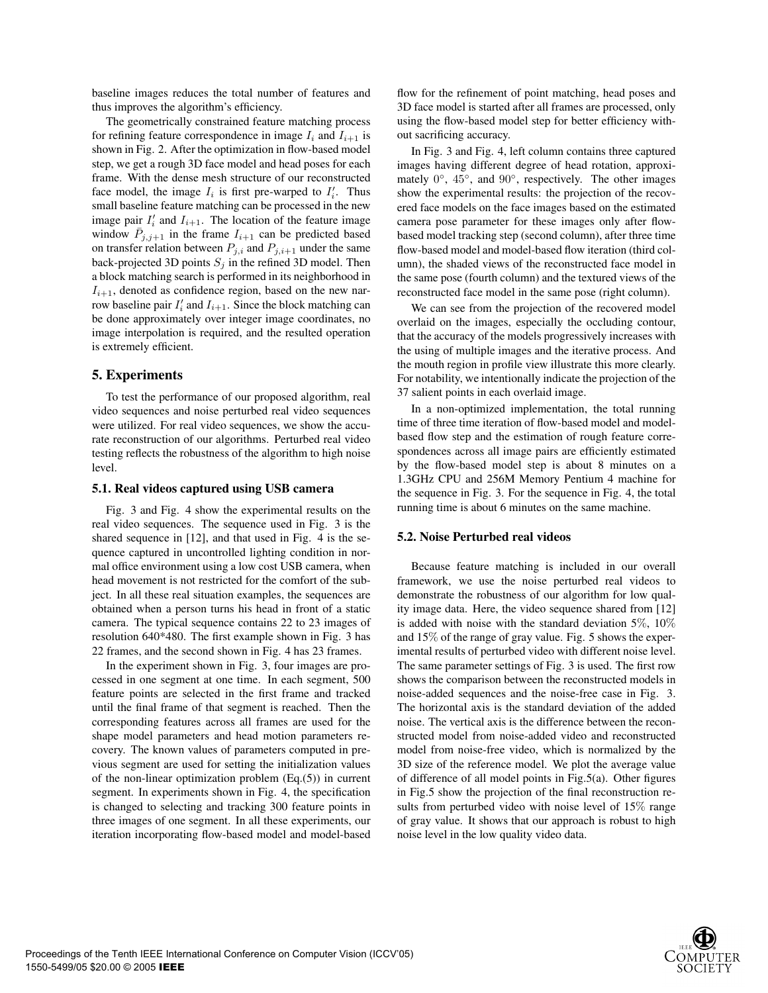baseline images reduces the total number of features and thus improves the algorithm's efficiency.

The geometrically constrained feature matching process for refining feature correspondence in image  $I_i$  and  $I_{i+1}$  is shown in Fig. 2. After the optimization in flow-based model step, we get a rough 3D face model and head poses for each frame. With the dense mesh structure of our reconstructed face model, the image  $I_i$  is first pre-warped to  $I'_i$ . Thus small baseline feature matching can be processed in the new image pair  $I'_i$  and  $I_{i+1}$ . The location of the feature image window  $P_{j,j+1}$  in the frame  $I_{i+1}$  can be predicted based on transfer relation between  $P_{j,i}$  and  $P_{j,i+1}$  under the same back-projected 3D points  $S_j$  in the refined 3D model. Then a block matching search is performed in its neighborhood in  $I_{i+1}$ , denoted as confidence region, based on the new narrow baseline pair  $I'_i$  and  $I_{i+1}$ . Since the block matching can be done approximately over integer image coordinates, no image interpolation is required, and the resulted operation is extremely efficient.

#### **5. Experiments**

To test the performance of our proposed algorithm, real video sequences and noise perturbed real video sequences were utilized. For real video sequences, we show the accurate reconstruction of our algorithms. Perturbed real video testing reflects the robustness of the algorithm to high noise level.

#### **5.1. Real videos captured using USB camera**

Fig. 3 and Fig. 4 show the experimental results on the real video sequences. The sequence used in Fig. 3 is the shared sequence in [12], and that used in Fig. 4 is the sequence captured in uncontrolled lighting condition in normal office environment using a low cost USB camera, when head movement is not restricted for the comfort of the subject. In all these real situation examples, the sequences are obtained when a person turns his head in front of a static camera. The typical sequence contains 22 to 23 images of resolution 640\*480. The first example shown in Fig. 3 has 22 frames, and the second shown in Fig. 4 has 23 frames.

In the experiment shown in Fig. 3, four images are processed in one segment at one time. In each segment, 500 feature points are selected in the first frame and tracked until the final frame of that segment is reached. Then the corresponding features across all frames are used for the shape model parameters and head motion parameters recovery. The known values of parameters computed in previous segment are used for setting the initialization values of the non-linear optimization problem (Eq.(5)) in current segment. In experiments shown in Fig. 4, the specification is changed to selecting and tracking 300 feature points in three images of one segment. In all these experiments, our iteration incorporating flow-based model and model-based flow for the refinement of point matching, head poses and 3D face model is started after all frames are processed, only using the flow-based model step for better efficiency without sacrificing accuracy.

In Fig. 3 and Fig. 4, left column contains three captured images having different degree of head rotation, approximately 0◦, <sup>45</sup>◦, and <sup>90</sup>◦, respectively. The other images show the experimental results: the projection of the recovered face models on the face images based on the estimated camera pose parameter for these images only after flowbased model tracking step (second column), after three time flow-based model and model-based flow iteration (third column), the shaded views of the reconstructed face model in the same pose (fourth column) and the textured views of the reconstructed face model in the same pose (right column).

We can see from the projection of the recovered model overlaid on the images, especially the occluding contour, that the accuracy of the models progressively increases with the using of multiple images and the iterative process. And the mouth region in profile view illustrate this more clearly. For notability, we intentionally indicate the projection of the 37 salient points in each overlaid image.

In a non-optimized implementation, the total running time of three time iteration of flow-based model and modelbased flow step and the estimation of rough feature correspondences across all image pairs are efficiently estimated by the flow-based model step is about 8 minutes on a 1.3GHz CPU and 256M Memory Pentium 4 machine for the sequence in Fig. 3. For the sequence in Fig. 4, the total running time is about 6 minutes on the same machine.

#### **5.2. Noise Perturbed real videos**

Because feature matching is included in our overall framework, we use the noise perturbed real videos to demonstrate the robustness of our algorithm for low quality image data. Here, the video sequence shared from [12] is added with noise with the standard deviation  $5\%$ ,  $10\%$ and 15% of the range of gray value. Fig. 5 shows the experimental results of perturbed video with different noise level. The same parameter settings of Fig. 3 is used. The first row shows the comparison between the reconstructed models in noise-added sequences and the noise-free case in Fig. 3. The horizontal axis is the standard deviation of the added noise. The vertical axis is the difference between the reconstructed model from noise-added video and reconstructed model from noise-free video, which is normalized by the 3D size of the reference model. We plot the average value of difference of all model points in Fig.5(a). Other figures in Fig.5 show the projection of the final reconstruction results from perturbed video with noise level of 15% range of gray value. It shows that our approach is robust to high noise level in the low quality video data.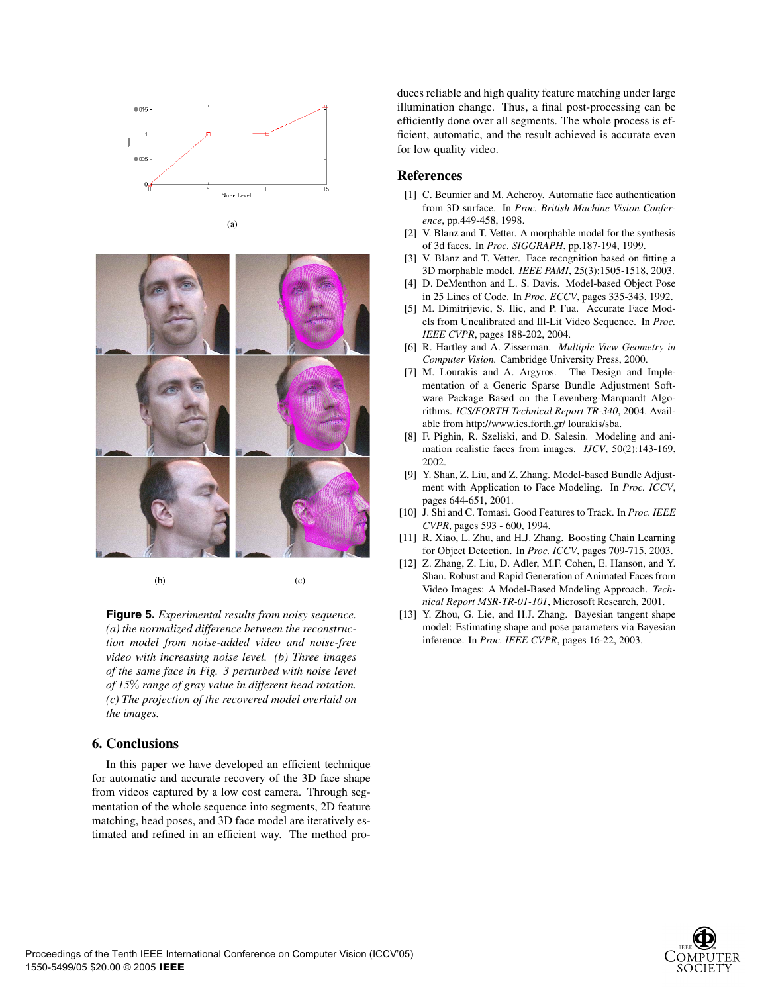

(a)

 $(b)$  (c)

**Figure 5.** *Experimental results from noisy sequence. (a) the normalized difference between the reconstruction model from noise-added video and noise-free video with increasing noise level. (b) Three images of the same face in Fig. 3 perturbed with noise level of 15*% *range of gray value in different head rotation. (c) The projection of the recovered model overlaid on the images.*

## **6. Conclusions**

In this paper we have developed an efficient technique for automatic and accurate recovery of the 3D face shape from videos captured by a low cost camera. Through segmentation of the whole sequence into segments, 2D feature matching, head poses, and 3D face model are iteratively estimated and refined in an efficient way. The method produces reliable and high quality feature matching under large illumination change. Thus, a final post-processing can be efficiently done over all segments. The whole process is efficient, automatic, and the result achieved is accurate even for low quality video.

# **References**

- [1] C. Beumier and M. Acheroy. Automatic face authentication from 3D surface. In *Proc. British Machine Vision Conference*, pp.449-458, 1998.
- [2] V. Blanz and T. Vetter. A morphable model for the synthesis of 3d faces. In *Proc. SIGGRAPH*, pp.187-194, 1999.
- [3] V. Blanz and T. Vetter. Face recognition based on fitting a 3D morphable model. *IEEE PAMI*, 25(3):1505-1518, 2003.
- [4] D. DeMenthon and L. S. Davis. Model-based Object Pose in 25 Lines of Code. In *Proc. ECCV*, pages 335-343, 1992.
- [5] M. Dimitrijevic, S. Ilic, and P. Fua. Accurate Face Models from Uncalibrated and Ill-Lit Video Sequence. In *Proc. IEEE CVPR*, pages 188-202, 2004.
- [6] R. Hartley and A. Zisserman. *Multiple View Geometry in Computer Vision.* Cambridge University Press, 2000.
- [7] M. Lourakis and A. Argyros. The Design and Implementation of a Generic Sparse Bundle Adjustment Software Package Based on the Levenberg-Marquardt Algorithms. *ICS/FORTH Technical Report TR-340*, 2004. Available from http://www.ics.forth.gr/ lourakis/sba.
- [8] F. Pighin, R. Szeliski, and D. Salesin. Modeling and animation realistic faces from images. *IJCV*, 50(2):143-169, 2002.
- [9] Y. Shan, Z. Liu, and Z. Zhang. Model-based Bundle Adjustment with Application to Face Modeling. In *Proc. ICCV*, pages 644-651, 2001.
- [10] J. Shi and C. Tomasi. Good Features to Track. In *Proc. IEEE CVPR*, pages 593 - 600, 1994.
- [11] R. Xiao, L. Zhu, and H.J. Zhang. Boosting Chain Learning for Object Detection. In *Proc. ICCV*, pages 709-715, 2003.
- [12] Z. Zhang, Z. Liu, D. Adler, M.F. Cohen, E. Hanson, and Y. Shan. Robust and Rapid Generation of Animated Faces from Video Images: A Model-Based Modeling Approach. *Technical Report MSR-TR-01-101*, Microsoft Research, 2001.
- [13] Y. Zhou, G. Lie, and H.J. Zhang. Bayesian tangent shape model: Estimating shape and pose parameters via Bayesian inference. In *Proc. IEEE CVPR*, pages 16-22, 2003.